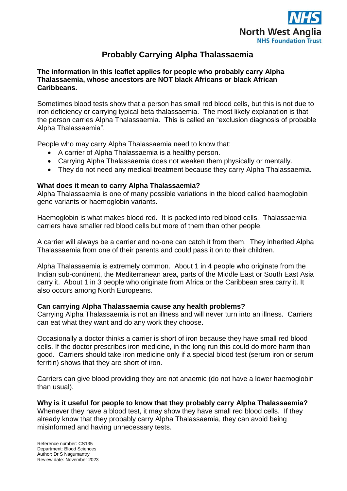

# **Probably Carrying Alpha Thalassaemia**

# **The information in this leaflet applies for people who probably carry Alpha Thalassaemia, whose ancestors are NOT black Africans or black African Caribbeans.**

Sometimes blood tests show that a person has small red blood cells, but this is not due to iron deficiency or carrying typical beta thalassaemia. The most likely explanation is that the person carries Alpha Thalassaemia. This is called an "exclusion diagnosis of probable Alpha Thalassaemia".

People who may carry Alpha Thalassaemia need to know that:

- A carrier of Alpha Thalassaemia is a healthy person.
- Carrying Alpha Thalassaemia does not weaken them physically or mentally.
- They do not need any medical treatment because they carry Alpha Thalassaemia.

## **What does it mean to carry Alpha Thalassaemia?**

Alpha Thalassaemia is one of many possible variations in the blood called haemoglobin gene variants or haemoglobin variants.

Haemoglobin is what makes blood red. It is packed into red blood cells. Thalassaemia carriers have smaller red blood cells but more of them than other people.

A carrier will always be a carrier and no-one can catch it from them. They inherited Alpha Thalassaemia from one of their parents and could pass it on to their children.

Alpha Thalassaemia is extremely common. About 1 in 4 people who originate from the Indian sub-continent, the Mediterranean area, parts of the Middle East or South East Asia carry it. About 1 in 3 people who originate from Africa or the Caribbean area carry it. It also occurs among North Europeans.

#### **Can carrying Alpha Thalassaemia cause any health problems?**

Carrying Alpha Thalassaemia is not an illness and will never turn into an illness. Carriers can eat what they want and do any work they choose.

Occasionally a doctor thinks a carrier is short of iron because they have small red blood cells. If the doctor prescribes iron medicine, in the long run this could do more harm than good. Carriers should take iron medicine only if a special blood test (serum iron or serum ferritin) shows that they are short of iron.

Carriers can give blood providing they are not anaemic (do not have a lower haemoglobin than usual).

**Why is it useful for people to know that they probably carry Alpha Thalassaemia?** Whenever they have a blood test, it may show they have small red blood cells. If they already know that they probably carry Alpha Thalassaemia, they can avoid being misinformed and having unnecessary tests.